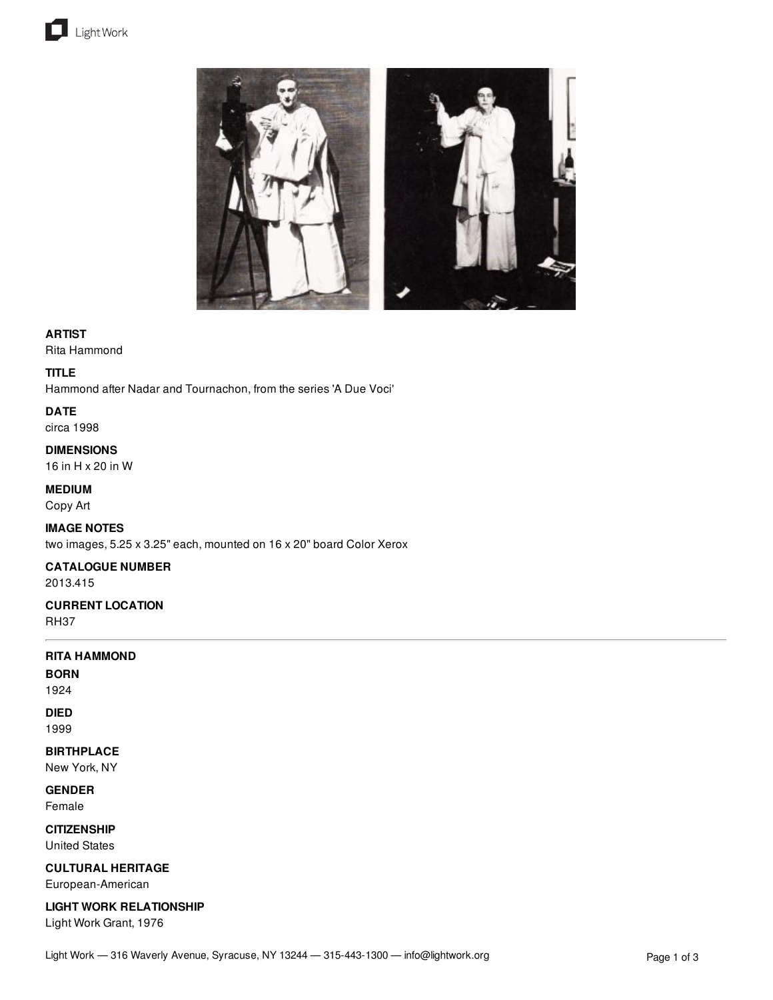



### **ARTIST**

Rita Hammond

### **TITLE**

Hammond after Nadar and Tournachon, from the series 'A Due Voci'

# **DATE**

circa 1998

#### **DIMENSIONS**

16 in H x 20 in W

## **MEDIUM**

Copy Art

## **IMAGE NOTES**

two images, 5.25 x 3.25" each, mounted on 16 x 20" board Color Xerox

## **CATALOGUE NUMBER**

2013.415

# **CURRENT LOCATION**

RH37

# **RITA HAMMOND**

**BORN**

1924

# **DIED**

1999

# **BIRTHPLACE**

New York, NY

**GENDER**

Female

# **CITIZENSHIP**

United States

## **CULTURAL HERITAGE**

European-American

**LIGHT WORK RELATIONSHIP**

Light Work Grant, 1976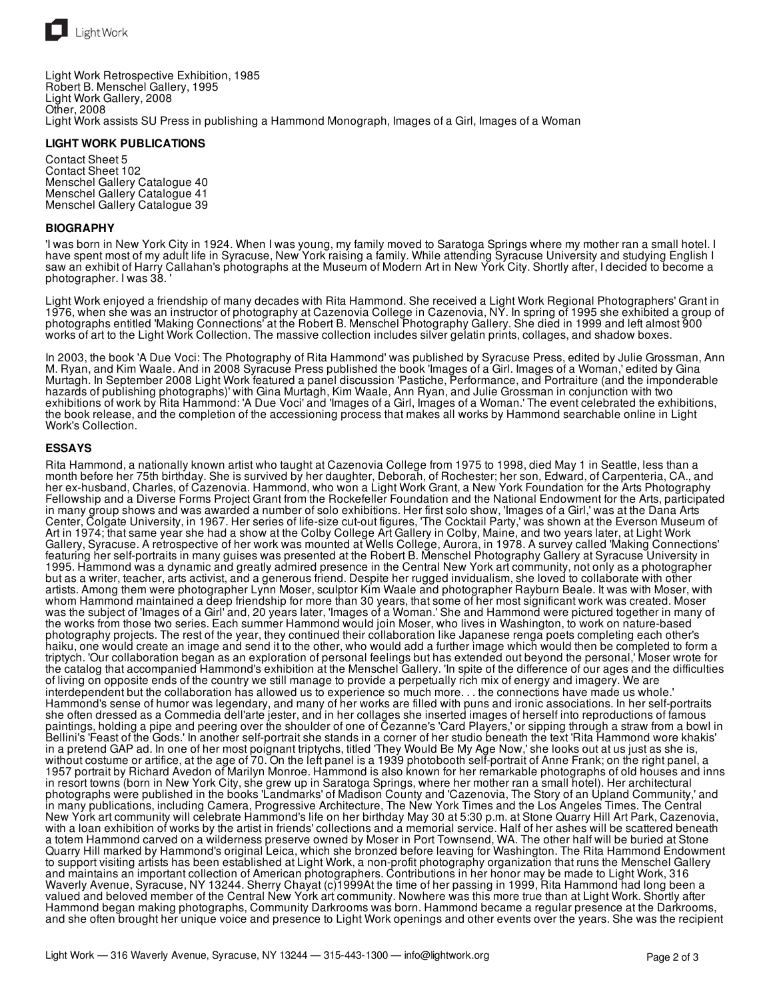

Light Work Retrospective Exhibition, 1985 Robert B. Menschel Gallery, 1995 Light Work Gallery, 2008 Other, 2008 Light Work assists SU Press in publishing a Hammond Monograph, Images of a Girl, Images of a Woman

#### **LIGHT WORK PUBLICATIONS**

Contact Sheet 5 Contact Sheet 102 Menschel Gallery Catalogue 40 Menschel Gallery Catalogue 41 Menschel Gallery Catalogue 39

#### **BIOGRAPHY**

'I was born in New York City in 1924. When I was young, my family moved to Saratoga Springs where my mother ran a small hotel. I have spent most of my adult life in Syracuse, New York raising a family. While attending Syracuse University and studying English I saw an exhibit of Harry Callahan's photographs at the Museum of Modern Art in New York City. Shortly after, I decided to become a photographer. I was 38. '

Light Work enjoyed a friendship of many decades with Rita Hammond. She received a Light Work Regional Photographers' Grant in 1976, when she was an instructor of photography at Cazenovia College in Cazenovia, NY. In spring of 1995 she exhibited a group of photographs entitled 'Making Connections' at the Robert B. Menschel Photography Gallery. She died in 1999 and left almost 900 works of art to the Light Work Collection. The massive collection includes silver gelatin prints, collages, and shadow boxes.

In 2003, the book 'A Due Voci: The Photography of Rita Hammond' was published by Syracuse Press, edited by Julie Grossman, Ann M. Ryan, and Kim Waale. And in 2008 Syracuse Press published the book 'Images of a Girl. Images of a Woman,' edited by Gina Murtagh. In September 2008 Light Work featured a panel discussion 'Pastiche, Performance, and Portraiture (and the imponderable hazards of publishing photographs)' with Gina Murtagh, Kim Waale, Ann Ryan, and Julie Grossman in conjunction with two exhibitions of work by Rita Hammond: 'A Due Voci' and 'Images of a Girl, Images of a Woman.' The event celebrated the exhibitions, the book release, and the completion of the accessioning process that makes all works by Hammond searchable online in Light Work's Collection.

#### **ESSAYS**

Rita Hammond, a nationally known artist who taught at Cazenovia College from 1975 to 1998, died May 1 in Seattle, less than a month before her 75th birthday. She is survived by her daughter, Deborah, of Rochester; her son, Edward, of Carpenteria, CA., and her ex-husband, Charles, of Cazenovia. Hammond, who won a Light Work Grant, a New York Foundation for the Arts Photography Fellowship and a Diverse Forms Project Grant from the Rockefeller Foundation and the National Endowment for the Arts, participated in many group shows and was awarded a number of solo exhibitions. Her first solo show, 'Images of a Girl,' was at the Dana Arts Center, Colgate University, in 1967. Her series of life-size cut-out figures, 'The Cocktail Party,' was shown at the Everson Museum of Art in 1974; that same year she had a show at the Colby College Art Gallery in Colby, Maine, and two years later, at Light Work Gallery, Syracuse. A retrospective of her work was mounted at Wells College, Aurora, in 1978. A survey called 'Making Connections' featuring her self-portraits in many guises was presented at the Robert B. Menschel Photography Gallery at Syracuse University in 1995. Hammond was a dynamic and greatly admired presence in the Central New York art community, not only as a photographer but as a writer, teacher, arts activist, and a generous friend. Despite her rugged invidualism, she loved to collaborate with other artists. Among them were photographer Lynn Moser, sculptor Kim Waale and photographer Rayburn Beale. It was with Moser, with whom Hammond maintained a deep friendship for more than 30 years, that some of her most significant work was created. Moser was the subject of 'Images of a Girl' and, 20 years later, 'Images of a Woman.' She and Hammond were pictured together in many of the works from those two series. Each summer Hammond would join Moser, who lives in Washington, to work on nature-based photography projects. The rest of the year, they continued their collaboration like Japanese renga poets completing each other's haiku, one would create an image and send it to the other, who would add a further image which would then be completed to form a triptych. 'Our collaboration began as an exploration of personal feelings but has extended out beyond the personal,' Moser wrote for the catalog that accompanied Hammond's exhibition at the Menschel Gallery. 'In spite of the difference of our ages and the difficulties of living on opposite ends of the country we still manage to provide a perpetually rich mix of energy and imagery. We are interdependent but the collaboration has allowed us to experience so much more. . . the connections have made us whole.' Hammond's sense of humor was legendary, and many of her works are filled with puns and ironic associations. In her self-portraits she often dressed as a Commedia dell'arte jester, and in her collages she inserted images of herself into reproductions of famous paintings, holding a pipe and peering over the shoulder of one of Cezanne's 'Card Players,' or sipping through a straw from a bowl in Bellini's 'Feast of the Gods.' In another self-portrait she stands in a corner of her studio beneath the text 'Rita Hammond wore khakis' in a pretend GAP ad. In one of her most poignant triptychs, titled 'They Would Be My Age Now,' she looks out at us just as she is, without costume or artifice, at the age of 70. On the left panel is a 1939 photobooth self-portrait of Anne Frank; on the right panel, a 1957 portrait by Richard Avedon of Marilyn Monroe. Hammond is also known for her remarkable photographs of old houses and inns in resort towns (born in New York City, she grew up in Saratoga Springs, where her mother ran a small hotel). Her architectural photographs were published in the books 'Landmarks' of Madison County and 'Cazenovia, The Story of an Upland Community,' and in many publications, including Camera, Progressive Architecture, The New York Times and the Los Angeles Times. The Central New York art community will celebrate Hammond's life on her birthday May 30 at 5:30 p.m. at Stone Quarry Hill Art Park, Cazenovia, with a loan exhibition of works by the artist in friends' collections and a memorial service. Half of her ashes will be scattered beneath a totem Hammond carved on a wilderness preserve owned by Moser in Port Townsend, WA. The other half will be buried at Stone Quarry Hill marked by Hammond's original Leica, which she bronzed before leaving for Washington. The Rita Hammond Endowment to support visiting artists has been established at Light Work, a non-profit photography organization that runs the Menschel Gallery and maintains an important collection of American photographers. Contributions in her honor may be made to Light Work, 316 Waverly Avenue, Syracuse, NY 13244. Sherry Chayat (c)1999At the time of her passing in 1999, Rita Hammond had long been a valued and beloved member of the Central New York art community. Nowhere was this more true than at Light Work. Shortly after Hammond began making photographs, Community Darkrooms was born. Hammond became a regular presence at the Darkrooms, and she often brought her unique voice and presence to Light Work openings and other events over the years. She was the recipient